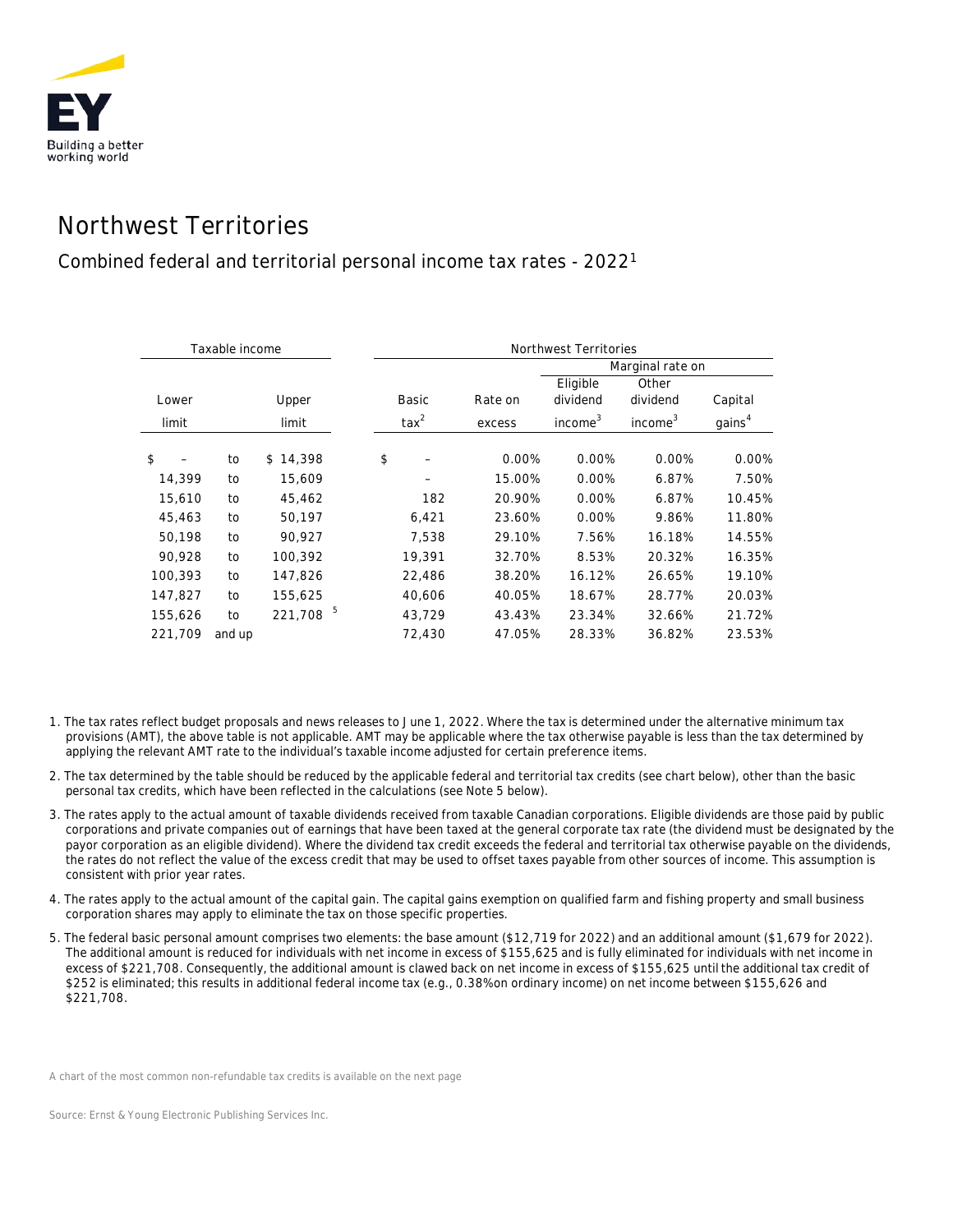

## Northwest Territories

## Combined federal and territorial personal income tax rates - 20221

| Taxable income |        |          |     | Northwest Territories |        |         |       |                     |                     |       |                    |
|----------------|--------|----------|-----|-----------------------|--------|---------|-------|---------------------|---------------------|-------|--------------------|
|                |        |          |     |                       |        |         |       | Marginal rate on    |                     |       |                    |
|                |        |          |     |                       |        |         |       | Eligible            | Other               |       |                    |
| Lower          |        | Upper    |     | Basic                 |        | Rate on |       | dividend            | dividend            |       | Capital            |
| limit          |        | limit    |     | $\text{tax}^2$        |        | excess  |       | income <sup>3</sup> | income <sup>3</sup> |       | gains <sup>4</sup> |
|                |        |          |     |                       |        |         |       |                     |                     |       |                    |
| \$             | to     | \$14,398 |     | \$                    |        |         | 0.00% | 0.00%               |                     | 0.00% | 0.00%              |
| 14,399         | to     | 15,609   |     |                       |        | 15.00%  |       | 0.00%               |                     | 6.87% | 7.50%              |
| 15,610         | to     | 45,462   |     |                       | 182    | 20.90%  |       | 0.00%               |                     | 6.87% | 10.45%             |
| 45,463         | to     | 50,197   |     |                       | 6,421  | 23.60%  |       | 0.00%               |                     | 9.86% | 11.80%             |
| 50,198         | to     | 90,927   |     |                       | 7,538  | 29.10%  |       | 7.56%               | 16.18%              |       | 14.55%             |
| 90,928         | to     | 100,392  |     |                       | 19,391 | 32.70%  |       | 8.53%               | 20.32%              |       | 16.35%             |
| 100,393        | to     | 147,826  |     |                       | 22,486 | 38.20%  |       | 16.12%              | 26.65%              |       | 19.10%             |
| 147,827        | to     | 155,625  |     |                       | 40,606 | 40.05%  |       | 18.67%              | 28.77%              |       | 20.03%             |
| 155,626        | to     | 221,708  | - 5 |                       | 43,729 | 43.43%  |       | 23.34%              | 32.66%              |       | 21.72%             |
| 221,709        | and up |          |     |                       | 72,430 | 47.05%  |       | 28.33%              | 36.82%              |       | 23.53%             |

- 1. The tax rates reflect budget proposals and news releases to June 1, 2022. Where the tax is determined under the alternative minimum tax provisions (AMT), the above table is not applicable. AMT may be applicable where the tax otherwise payable is less than the tax determined by applying the relevant AMT rate to the individual's taxable income adjusted for certain preference items.
- 2. The tax determined by the table should be reduced by the applicable federal and territorial tax credits (see chart below), other than the basic personal tax credits, which have been reflected in the calculations (see Note 5 below).
- 3. The rates apply to the actual amount of taxable dividends received from taxable Canadian corporations. Eligible dividends are those paid by public corporations and private companies out of earnings that have been taxed at the general corporate tax rate (the dividend must be designated by the payor corporation as an eligible dividend). Where the dividend tax credit exceeds the federal and territorial tax otherwise payable on the dividends, the rates do not reflect the value of the excess credit that may be used to offset taxes payable from other sources of income. This assumption is consistent with prior year rates.
- 4. The rates apply to the actual amount of the capital gain. The capital gains exemption on qualified farm and fishing property and small business corporation shares may apply to eliminate the tax on those specific properties.
- 5. The federal basic personal amount comprises two elements: the base amount (\$12,719 for 2022) and an additional amount (\$1,679 for 2022). The additional amount is reduced for individuals with net income in excess of \$155,625 and is fully eliminated for individuals with net income in excess of \$221,708. Consequently, the additional amount is clawed back on net income in excess of \$155,625 until the additional tax credit of \$252 is eliminated; this results in additional federal income tax (e.g., 0.38% on ordinary income) on net income between \$155,626 and \$221,708.

*A chart of the most common non-refundable tax credits is available on the next page*

*Source: Ernst & Young Electronic Publishing Services Inc.*